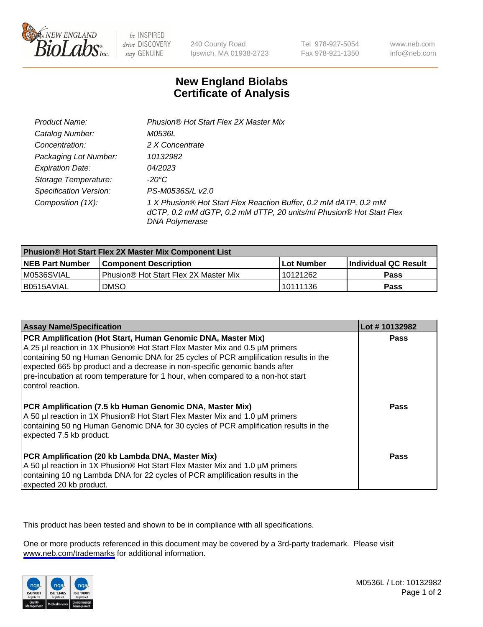

be INSPIRED drive DISCOVERY stay GENUINE

240 County Road Ipswich, MA 01938-2723 Tel 978-927-5054 Fax 978-921-1350

www.neb.com info@neb.com

## **New England Biolabs Certificate of Analysis**

| Product Name:                 | Phusion® Hot Start Flex 2X Master Mix                                                                                                                     |
|-------------------------------|-----------------------------------------------------------------------------------------------------------------------------------------------------------|
| Catalog Number:               | <i>M0536L</i>                                                                                                                                             |
| Concentration:                | 2 X Concentrate                                                                                                                                           |
| Packaging Lot Number:         | 10132982                                                                                                                                                  |
| <b>Expiration Date:</b>       | 04/2023                                                                                                                                                   |
| Storage Temperature:          | -20°C                                                                                                                                                     |
| <b>Specification Version:</b> | PS-M0536S/L v2.0                                                                                                                                          |
| Composition (1X):             | 1 X Phusion® Hot Start Flex Reaction Buffer, 0.2 mM dATP, 0.2 mM<br>dCTP, 0.2 mM dGTP, 0.2 mM dTTP, 20 units/ml Phusion® Hot Start Flex<br>DNA Polymerase |

| <b>Phusion® Hot Start Flex 2X Master Mix Component List</b> |                                       |              |                       |  |
|-------------------------------------------------------------|---------------------------------------|--------------|-----------------------|--|
| <b>NEB Part Number</b>                                      | <b>Component Description</b>          | l Lot Number | ∣Individual QC Result |  |
| IM0536SVIAL                                                 | Phusion® Hot Start Flex 2X Master Mix | 10121262     | <b>Pass</b>           |  |
| I B0515AVIAL                                                | <b>DMSO</b>                           | 10111136     | Pass                  |  |

| <b>Assay Name/Specification</b>                                                                                                                                                                                                                                                                                                                                                                                            | Lot #10132982 |
|----------------------------------------------------------------------------------------------------------------------------------------------------------------------------------------------------------------------------------------------------------------------------------------------------------------------------------------------------------------------------------------------------------------------------|---------------|
| PCR Amplification (Hot Start, Human Genomic DNA, Master Mix)<br>A 25 µl reaction in 1X Phusion® Hot Start Flex Master Mix and 0.5 µM primers<br>containing 50 ng Human Genomic DNA for 25 cycles of PCR amplification results in the<br>expected 665 bp product and a decrease in non-specific genomic bands after<br>pre-incubation at room temperature for 1 hour, when compared to a non-hot start<br>control reaction. | <b>Pass</b>   |
| PCR Amplification (7.5 kb Human Genomic DNA, Master Mix)<br>A 50 µl reaction in 1X Phusion® Hot Start Flex Master Mix and 1.0 µM primers<br>containing 50 ng Human Genomic DNA for 30 cycles of PCR amplification results in the<br>expected 7.5 kb product.                                                                                                                                                               | Pass          |
| PCR Amplification (20 kb Lambda DNA, Master Mix)<br>A 50 µl reaction in 1X Phusion® Hot Start Flex Master Mix and 1.0 µM primers<br>containing 10 ng Lambda DNA for 22 cycles of PCR amplification results in the<br>expected 20 kb product.                                                                                                                                                                               | Pass          |

This product has been tested and shown to be in compliance with all specifications.

One or more products referenced in this document may be covered by a 3rd-party trademark. Please visit <www.neb.com/trademarks>for additional information.